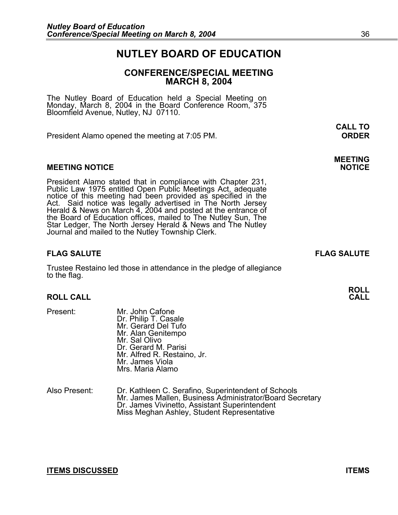### **NUTLEY BOARD OF EDUCATION**

#### **CONFERENCE/SPECIAL MEETING MARCH 8, 2004**

**CALL TO** 

The Nutley Board of Education held a Special Meeting on Monday, March 8, 2004 in the Board Conference Room, 375 Bloomfield Avenue, Nutley, NJ 07110.

President Alamo opened the meeting at 7:05 PM. **ORDER**

#### **MEETING NOTICE**

President Alamo stated that in compliance with Chapter 231,<br>Public Law 1975 entitled Open Public Meetings Act, adequate<br>notice of this meeting had been provided as specified in the<br>Act. Said notice was legally advertised i the Board of Education offices, mailed to The Nutley Sun, The Star Ledger, The North Jersey Herald & News and The Nutley Journal and mailed to the Nutley Township Clerk.

#### **FLAG SALUTE FLAG SALUTE**

Trustee Restaino led those in attendance in the pledge of allegiance to the flag.

#### **ROLL CALL**

- Present: Mr. John Cafone Dr. Philip T. Casale Mr. Gerard Del Tufo Mr. Alan Genitempo<br>Mr. Sal Olivo Dr. Gerard M. Parisi Mr. Alfred R. Restaino, Jr. Mr. James Viola Mrs. Maria Alamo
- Also Present: Dr. Kathleen C. Serafino, Superintendent of Schools Mr. James Mallen, Business Administrator/Board Secretary<br>Dr. James Vivinetto, Assistant Superintendent Miss Meghan Ashley, Student Representative

#### **ITEMS DISCUSSED ITEMS**

# **MEETING**

**ROLL**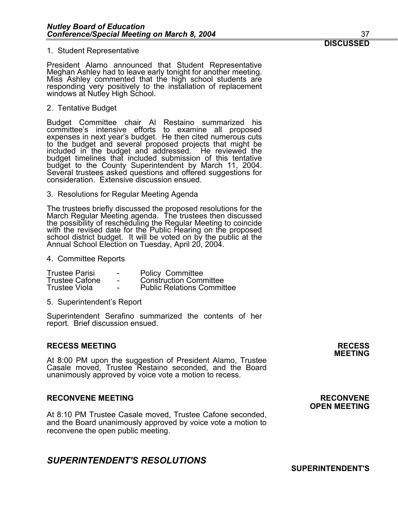President Alamo announced that Student Representative Meghan Ashley had to leave early tonight for another meeting. Miss Ashley commented that the high school students are responding very positively to the installation of replacement windows at Nutley High School.

2. Tentative Budget

Budget Committee chair Al Restaino summarized his committee's intensive efforts to examine all proposed expenses in next year's budget. He then cited numerous cuts to the budget and several proposed projects that might be included in the budget and addressed. He reviewed the budget timelines that included submission of this tentative budget to the County Superintendent by March 11, 2004. Several trustees asked questions and offered suggestions for consideration. Extensive discussion ensued.

3. Resolutions for Regular Meeting Agenda

The trustees briefly discussed the proposed resolutions for the March Regular Meeting agenda. The trustees then discussed the possibility of rescheduling the Regular Meeting to coincide<br>with the revised date for the Public Hearing on the proposed<br>school district budget. It will be voted on by the public at the<br>Annual School Election on Tuesda

4. Committee Reports

| <b>Trustee Parisi</b> | $\overline{\phantom{a}}$ | <b>Policy Committee</b>           |
|-----------------------|--------------------------|-----------------------------------|
| <b>Trustee Cafone</b> | $\sim$                   | <b>Construction Committee</b>     |
| Trustee Viola         | $\sim$                   | <b>Public Relations Committee</b> |

5. Superintendent's Report

Superintendent Serafino summarized the contents of her report. Brief discussion ensued.

#### **RECESS MEETING RECESS**

At 8:00 PM upon the suggestion of President Alamo, Trustee Casale moved, Trustee Restaino seconded, and the Board unanimously approved by voice vote a motion to recess.

#### **RECONVENE MEETING RECONVENE**

At 8:10 PM Trustee Casale moved, Trustee Cafone seconded, and the Board unanimously approved by voice vote a motion to reconvene the open public meeting.

#### *SUPERINTENDENT'S RESOLUTIONS*

**MEETING** 

## **OPEN MEETING**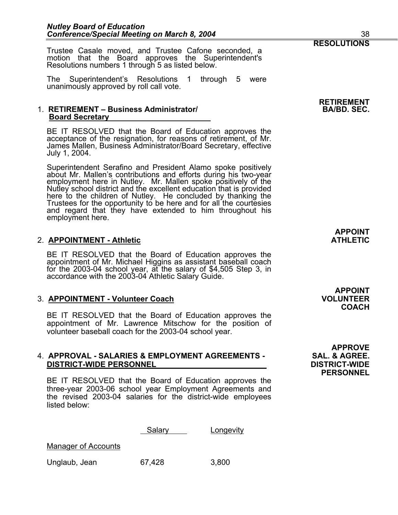Trustee Casale moved, and Trustee Cafone seconded, a motion that the Board approves the Superintendent's Resolutions numbers 1 through 5 as listed below.

The Superintendent's Resolutions 1 through 5 were unanimously approved by roll call vote.

#### 1. **RETIREMENT – Business Administrator/ Board Secretary**

BE IT RESOLVED that the Board of Education approves the acceptance of the resignation, for reasons of retirement, of Mr. James Mallen, Business Administrator/Board Secretary, effective July 1, 2004.

Superintendent Serafino and President Alamo spoke positively about Mr. Mallen's contributions and efforts during his two-year employment here in Nutley. Mr. Mallen spoke positively of the Nutley school district and the excellent education that is provided here to the children of Nutley. He concluded by thanking the Trustees for the opportunity to be here and for all the courtesies and regard that they have extended to him throughout his employment here.

#### **2. APPOINTMENT - Athletic**

BE IT RESOLVED that the Board of Education approves the appointment of Mr. Michael Higgins as assistant baseball coach for the 2003-04 school year, at the salary of \$4,505 Step 3, in accordance with the 2003-04 Athletic Salary Guide.

#### 3. **APPOINTMENT - Volunteer Coach VOLUNTEER**

BE IT RESOLVED that the Board of Education approves the appointment of Mr. Lawrence Mitschow for the position of volunteer baseball coach for the 2003-04 school year.

#### 4. **APPROVAL - SALARIES & EMPLOYMENT AGREEMENTS - SAL. & AGREE. DISTRICT-WIDE PERSONNEL DISTRICT-WIDE**

BE IT RESOLVED that the Board of Education approves the three-year 2003-06 school year Employment Agreements and the revised 2003-04 salaries for the district-wide employees listed below:

Salary **Longevity** 

Manager of Accounts

Unglaub, Jean 67,428 3,800

**RETIREMENT** 

**APPOINT** 

**APPOINT COACH** 

**APPROVE PERSONNEL**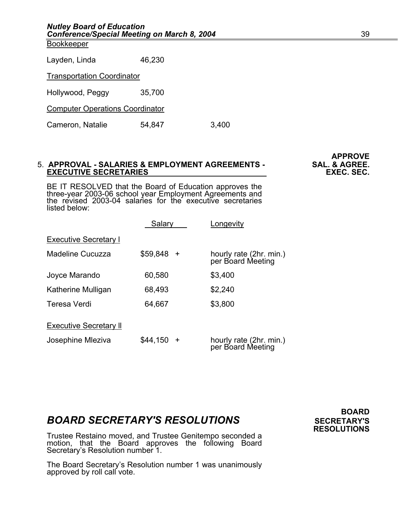**Bookkeeper** 

Transportation Coordinator

Hollywood, Peggy 35,700

Computer Operations Coordinator

Cameron, Natalie 54,847 3,400

#### 5. **APPROVAL - SALARIES & EMPLOYMENT AGREEMENTS - SAL. & AGREE. EXECUTIVE SECRETARIES**

BE IT RESOLVED that the Board of Education approves the three-year 2003-06 school year Employment Agreements and the revised 2003-04 salaries for the executive secretaries listed below:

|                               | Salary                | Longevity                                    |
|-------------------------------|-----------------------|----------------------------------------------|
| <b>Executive Secretary I</b>  |                       |                                              |
| Madeline Cucuzza              | \$59,848<br>$\ddot{}$ | hourly rate (2hr. min.)<br>per Board Meeting |
| Joyce Marando                 | 60,580                | \$3,400                                      |
| Katherine Mulligan            | 68,493                | \$2,240                                      |
| Teresa Verdi                  | 64,667                | \$3,800                                      |
| <b>Executive Secretary II</b> |                       |                                              |
| Josephine Mleziva             | \$44,150<br>$+$       | hourly rate (2hr. min.)<br>per Board Meeting |

### **BOARD SECRETARY'S RESOLUTIONS** SECRETARY'S

Trustee Restaino moved, and Trustee Genitempo seconded a motion, that the Board approves the following Board Secretary's Resolution number 1.

The Board Secretary's Resolution number 1 was unanimously approved by roll call vote.

**BOARD RESOLUTIONS** 

**APPROVE**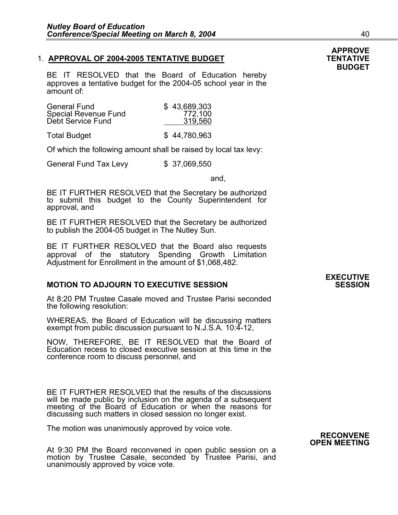#### 1. **APPROVAL OF 2004-2005 TENTATIVE BUDGET FILL CONTATIVE ASSESSED AT A REAL PROVAL OF 2004-2005 TENTATIVE**

BE IT RESOLVED that the Board of Education hereby approves a tentative budget for the 2004-05 school year in the amount of:

| <b>General Fund</b><br>Special Revenue Fund<br>Debt Service Fund | \$43,689,303<br>772,100<br>319,560 |
|------------------------------------------------------------------|------------------------------------|
| - -                                                              | $\sim$ $\sim$ $\sim$ $\sim$ $\sim$ |

Total Budget \$ 44,780,963

Of which the following amount shall be raised by local tax levy:

General Fund Tax Levy \$ 37,069,550

and,

BE IT FURTHER RESOLVED that the Secretary be authorized to submit this budget to the County Superintendent for approval, and

BE IT FURTHER RESOLVED that the Secretary be authorized to publish the 2004-05 budget in The Nutley Sun.

BE IT FURTHER RESOLVED that the Board also requests approval of the statutory Spending Growth Limitation Adjustment for Enrollment in the amount of \$1,068,482.

#### **MOTION TO ADJOURN TO EXECUTIVE SESSION**

At 8:20 PM Trustee Casale moved and Trustee Parisi seconded the following resolution:

WHEREAS, the Board of Education will be discussing matters exempt from public discussion pursuant to N.J.S.A. 10:4-12,

NOW, THEREFORE, BE IT RESOLVED that the Board of Education recess to closed executive session at this time in the conference room to discuss personnel, and

BE IT FURTHER RESOLVED that the results of the discussions will be made public by inclusion on the agenda of a subsequent meeting of the Board of Education or when the reasons for discussing such matters in closed session no longer exist.

The motion was unanimously approved by voice vote.

**RECONVENE**<br>**At 9:30 PM the Board reconvened in open public session on a**<br>motion by Trustee Casale, seconded by Trustee Parisi, and unanimously approved by voice vote.

### **EXECUTIVE**

### **APPROVE BUDGET**